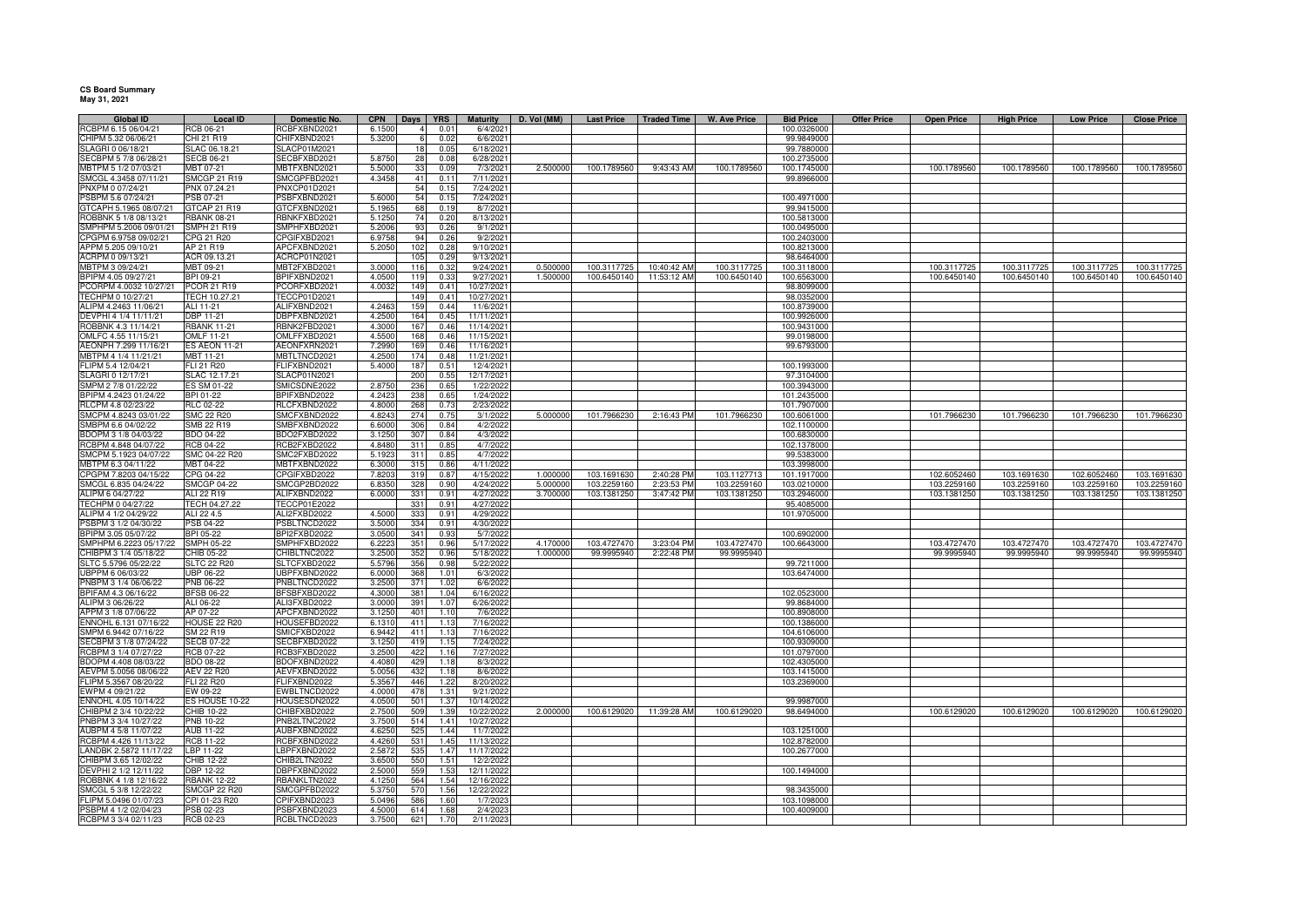## **CS Board SummaryMay 31, 2021**

**Global IDLocal ID Domestic No. CPN Days YRS** Maturity D. Vol (MM) Last Price Traded Time W. Ave Price Bid Price Offer Price Open Price High Price Low Price Close Price<br>RCB 06-21 RCBFXBND2021 6.1500 4 0.01 6/4/2021 RCBPM 6.15 06/04/21 RCB 06-21 RCBFXBND2021 6.1500 4 0.01<br>CHIPM 5.32 06/06/21 CHI 21 R19 CHIFXBND2021 5.3200 6 0.03 1 6/4/2021 100.0326000 CHIPM 5.32 06/06/21 CHI 21 R19 CHIFXBND2021 5.3200 6 0.02 6/6/20211 99.9849000 SLAGRI 0 06/18/21 SLAC 06.18.21 SLACP01M2021 18 0.05 6/18/2021<br>SECREM 5.7/8 06/98/21 SECR 06:21 SECREXRO2021 5.8750 28 0.05 6/18/2021 1 99.7880000 SECBPM 5 7/8 06/28/21 SECB 06-21 SECBFXBD2021 5.8750 28<br>MRTPM 5 1/2 07/03/21 MRT 07-21 MRTFXRND2021 5.5000 33 0.08 6/28/2021 100.2735000 MBTPM 5 1/2 07/03/21 MBT 07-21 MBTFXBND2021 5.5000 33 0.09 7/3/2021 2.500000 100.1789560 30.43:43 AM 100.1789560 100.1745000 100.1789560 100.1789560 100.1789560 100.1789560 100.1789560 100.1789560 SMCGL 4.3458 07/11/21 SMCGP 21 R19 SMCGPFBD2021 4.345<br>PNXPM 0.07/24/21 PNX 07 24 21 PNXCP01D2021 <sup>41</sup> 0.11 7/11/2021 99.8966000 PNXPM 0 07/24/21 PNX 07.24.21 PNXCP01D2021 54 0.15 7/24/20217/24/2021 PSBPM 5.6 07/24/21 PSB 07-21 PSBFXBND2021 5.6000 54 0.15 7/24/2021 100.4971000 GTCAPH 5.1965 08/07/21 GTCAP 21 R19 GTCFXBND2021 5.1965 68 0.19 8/7/2021<br>ROBBNK 5 1/8 08/13/21 RBANK 08-21 RBNKFXBD2021 5.1250 74 0.20 8/13/2021 1 99.9415000 ROBBNK 5 1/8 08/13/21 RBANK 08-21 RBNKFXBD2021 5.1250 <sup>74</sup> 0.20 8/13/2021 100.5813000 SMPHPM 5.2006 09/01/21 SMPH 21 R19 SMPHFXBD2021<br>CPGPM 6.9758 09/02/21 CPG 21 R20 CPG FXBD2021 <sup>93</sup> 0.26 9/1/2021 100.0495000 CPGPM 6.9758 09/02/21 CPG 21 R20 CPGIFXBD2021 6.9758 94<br>APPM 5.205 09/10/21 AP 21 R19 APCEXRND2021 5.2050 102 4 0.26 9/2/2021 200 100.2403000 APPM 5.205 09/10/21 AP 21 R19 APCFXBND2021 5.2050 102 0.28 9/10/2021 100.8213000 ACRPM 0 09/13/21 <br>MBTPM 3 09/24/21 MBT 09-21 MBT2FXBD2021 3.0000 116 0.32 9/24/2021 1 98.6464000 MBTPM 3 09/24/21 MBT2FXBD2021 3.0000 116 0.32 9/24/2021 0.500000 100.3117725 10:40:42 AM 100.3117725 100.3117725 100.3117725 100.3117725 100.3117725 100.3117725 100.3117725 100.3117725 100.3117725<br>100.6450140 100.6450140 100.6450140 100.6450140 BPIPM 4.05 09/27/21 BPI 09-21 BPIFXBND2021 4.0500 119 0.33 9/27/2021 1.500000 100.6450140 100.6450140 100.6450140 100.6563000 100.6450140 100.6450140 100.6450140 PCORPM 4.0032 10/27/21 PCOR 21 R19 PCORFXBD2021 4.0032 2 149 0.41 10/27/2021 2 2 149 0.41 10/27/2021 TECHPM 0 10/27/21 TECH 10.27.21 TECCP01D2021 149 0.41 10/27/2021<br>ALIPM 4 2463 11/06/21 ALL11-21 ALLTXBND2021 4 2463 159 0.44 11/6/2021 1 98.0352000 ALIPM 4.2463 11/06/21 ALI 11-21 ALI FXBND2021<br>DEVPHI 4 1/4 11/11/21 DBP 11-21 DBPFXBND2021 9 0.44 11/6/2021 100.8739000 100.8739000 DEVPHI 4 1/4 11/11/21 DBP 11-21 DBPFXBND2021 4.2500 164<br>ROBBNK 4.3 11/14/21 RBANK 11-21 RBNK2FBD2021 4.3000 167 0.45 11/11/2021 100.9926000 ROBBNK 4.3 11/14/21 RBANK 11-21 RBNK2FBD2021 4.3000 1677 0.46 11/14/2021 100.9431000 100.9431000 OMLFC 4.55 11/15/21 OMLF 11-21 OMLFFXBD2021 4.5500 168 0.46 11/15/20211 99.0198000 AEONPH 7.299 11/16/21 1 99.6793000 MBTPM 4 1/4 11/21/21 MBT 11-21 MBTLTNCD2021 4.2500 174 0.48 11/21/202<br>FLIPM 5.4 12/04/21 FLI 21 R20 FLIFXBND2021 5.4000 187 0.51 12/4/202 12/4/2021 FLIPM 5.4 12/04/21 FLI 21 R20 FLIFXBND2021 5.4000 187 0.51 12/4/202112/4/2021 100.1993000<br>12/17/2021 97.3104000 SLAGRI 0 12/17/21 SLAC 12.17.21 SLACP01N2021 200 0.55<br>SMPM 2 7/8 01/22/22 ES SM 01-22 SMICSDNE2022 2.8750 236 0.65 1 97.3104000 SMPM 2 7/8 01/22/22 ES SM 01-22 0.65 1/22/2022 100.3943000 BPIPM 4.2423 01/24/22 BPI 01-22 BPIFXBND2022 4.2423 238<br>RICPM 4.8 02/23/22 RLC 02-22 RLC FXBND2022 4.8000 268 0.65 1/24/2022 101.2435000 RLCPM 4.8 02/23/22 RLC 02-22 RLCFXBND2022 4.8000 268 0.73 2/23/2022<br>SMCPM 4.8243 03/01/22 SMC 22 R20 SMCFXBND2022 4.8243 274 0.75 3/1/2022 101.7907000<br>
101.7966230 2:16:43 PM 101.7966230 100.6061000 SMCPM 4.8243 03/01/22 SMC 22 R20 SMCFXBND2022 4.8243 274 0.75 3/1/2022 5.000000 101.7966230 2:16:43 PM 101.7966230 100.6061000 101.7966230 101.7966230 101.7966230 101.7966230 101.7966230 101.7966230 SMBPM 6.6 04/02/22 SMB 22 R19 SMBFXBND2022 6.6000 306 0.84 4/2/20222 102.1100000 BDOPM 3 1/8 04/03/22  $\frac{4/3/2022}{4/7/2022}$  100.6830000<br> $\frac{4/7}{2022}$  100.6830000 RCBPM 4.848 04/07/22 RCB 04-22 RCB2FXBD2022 4.8480 311 0.85 4/7/2022<br>SMCPM 5.1923 04/07/22 SMC 04-22 R20 SMC2FXBD2022 5.1923 311 0.85 4/7/2022 2 102.1378000 SMCPM 5.1923 04/07/22 SMC 04-22 R20 SMC2FXBD2022 5.1923 311 0.85<br>MBTPM 6.3 04/11/22 MBT 04-22 MBTFXBND2022 6.3000 315 0.86 2 99.5383000 MBTPM 6.3 04/11/22 MBT 04-22 MBTFXBND2022 6.3000 315 0.86 4/11/20222 103.3998000 CPGPM 7.8203 04/15/22 CPG 04-22 CPGIFXBD2022 7.8203 319<br>SMCGL 6.835 04/24/22 SMCGP 04-22 SMCGP2BD2022 6.8350 328 0<mark>.87 4/15/2022 1.000000 103.1691630 2:40:28 PM 103.1127713 101.1917000 103.000 102.6052460 103.1691630 102.6052460 103.1691630 102.6052460 103.1691630 102.6052460 103.1691630 102.6052460 103.1691630 103.1691630 103.169163</mark> SMCGL 6.835 04/24/22 SMCGP 04-22 SMCGP2BD2022 6.8350 328 0.90 4/24/2022 5.000000 103.2259160 2:23:53 PM 103.2259160 103.0210000 103.2259160 103.2259160 103.2259160 103.2259160 103.2259160 103.2259160 ALIPM 6 04/27/22 ALI 22 R19 ALIFXBND2022 6.0000 331 0.91 4/27/2022 3.700000 103.1381250 3:47:42 PM 103.1381250 103.2946000 103.1381250 103.1381250 103.1381250 103.1381250 TECHPM 0 04/27/22 TECH 04.27.22 TECCP01E2022 331 0.91 4/27/20222 95.4085000 ALIPM 4 1/2 04/29/22 ALI 22 4.5 ALI2FXBD2022 4.5000 333 0.91 4/29/2022 101.9705000 PSBPM 3 1/2 04/30/22 PSB 04-22 PSBLTNCD2022 3.5000 334 0.91 4/30/20225/7/2022 BPIPM 3.05.05/07/22 2 100.6902000 SMPHPM 6.2223 05/17/22 |SMPH 05-22 |SMPHFXBD2022 | 6.2223| 351| 0.96| 5/17/2022| 4.170000| 103.4727470 | 103.4727470 | 100.6643000 | 103.4727470 | 103.4727470 103.4727470 103.4727470 103.4727470 CHIBPM 3 1/4 05/18/22 CHIB 05-22 CHIBLTNC2022 3.2500 352 0.96 5/18/2022 1.000000 99.9995940 2:22:48 PM 99.9995940 99.999540 99.9995940 99.9995940 99.9995940 99.9995940 SLTC 5.5796 05/22/22 SLTC 22 R20 SLTCFXBD2022 5.5796 356 0.98 5/22/20222 99.7211000 IBPPM 6 06/03/22  $\frac{6/3}{2022}$  103.6474000 PNBPM 3 1/4 06/06/22 PNB 06-22 PNBLTNCD2022 3.2500 371 1.02<br>RPIEAM 4.3 06/16/22 RESB 06-22 RESBEXBD2022 4.3000 381 1.04 6/16/2022 BPIFAM 4.3 06/16/22 BFSB 06-22 BFSBFXBD2022 4.3000<br>ALIPM 3 06/26/22 ALI 06-22 ALI3FXBD2022 3.0000 2 102.0523000 ALIPM 3 06/26/22 ALI 06-22 ALI3FXBD2022 3.0000 391 1.07 6/26/202299.8684000 يو 100.8988000 يو 100.8988000 يو 100.8988000 يو 100.8988000 يو 100.8988000 يو 100.8988000 يو 100.89<br>تاريخ 100.8908000 يو 100.8998000 يو 100.8998000 يو 100.8998000 يو 100.8998000 يو 100.8998000 يو 100.8998000 يو APPM 3 1/8 07/06/22 AP 07-22 APCFXBND2022 3.1250 401 1.10 7/6/20222 100.8908000 ENNOHL 6.131 07/16/22 0 411 1.13 7/16/2022 **100.1386000** 100.1386000 SMPM 6.9442 07/16/22 SM 22 R19 SMICEXBD2022 6.9442 411 1.13 7/16/2022 2 104.6106000 SECBPM 3 1/8 07/24/22 SECB 07-22 SECBFXBD2022 3.1250 419 1.15 7/24/2022 100.9309000 RCBPM 3 1/4 07/27/22 RCB 07-22 RCB3FXBD2022 3.2500 <sup>422</sup> 1.16 7/27/2022 101.0797000 BDOPM 4.408 08/03/22 BDO 08-22 BDOFXBND2022 4.4080 429 1.18  $\frac{8}{3}/2022$  102.4305000<br> $\frac{8}{6}/2022$  103.1415000 AEVPM 5.0056 08/06/22 AEV 22 R20 AEVFXBND2022 5.0056 432 1.18 103.1415000 FLIPM 5.3567 08/20/22 FLI 22 R20 FLIFXBND2022 5.3567 446 1.22 8/20/20222 103.2369000 EWPM 4 09/21/22 EW 09-22 EWBLTNCD2022 4.0000 478 1.31 9/21/202210/14/2022 ENNOHL 4.05 10/14/22 ES HOUSE 10-22 HOUSESDN2022 4.0500 501 1.37 10/14/202210/14/2022 99.9987000<br>10/22/2022 2.000000 100.6129020 11:39:28 AM 100.6129020 98.6494000 CHIBPM 2 3/4 10/22/22 CHIB 10-22 CHIBFXBD2022 2.7500 509 1.39 10/22/2022 2.000000 100.6129020 11:39:28 AM 100.6129020 98.6494000 100.6129020 100.6129020 100.6129020 100.6129020 11:39:28 AM 100.6129020 98.6494000 100.612902 100.6129020 100.6129020 100.6129020 PNBPM 3 3/4 10/27/22 PNB 10-22 PNB2LTNC2022 3.7500 514 1.41 10/27/202211/7/2022 AUBPM 4 5/8 11/07/22 AUB 11-22 AUBFXBND2022 4.6250 525 1.44 11/7/20222 103.1251000 RCBPM 4.426 11/13/22 RCB 11-22 RCBFXBND2022<br>LANDBK 2.5872 11/17/22 LBP 11-22 LBPFXBND2022 11/13/2022 102.8782000 11/17/2022 102.8782000 11/17/2022 100.2677000 11/17/2022 LANDBK 2.5872 11/17/22 LBP 11-22 LBPFXBND2022 2.5872 535 1.47<br>CHIBPM 3.65 12/02/22 CHIB 12-22 CHIB2LTN2022 3.6500 550 1.51 100.2677000 CHIBPM 3.65 12/02/22 CHIB 12-22 CHIB2LTN2022 3.6500 5501.51 12/2/2022<br>153 12/11/2022 DEVPHI 2 1/2 12/11/22 DBP 12-22 DBPFXBND2022 2.5000 5599 1.53 12/11/2022 100.1494000 12/11/2022 100.1494000 ROBBNK 4 1/8 12/16/22 RBANK 12-22 RBANKLTN2022 4.1250 564 1.54 12/16/202212/22/2022 SMCGL 5 3/8 12/22/22 SMCGP 22 R20 SMCGPFBD2022 5.3750 570 1.56 12/22/20222 98.3435000 FLIPM 5.0496 01/07/23 CPI 01-23 R20 CPIFXBND2023 5.0496 586 1.60 1/7/2023103.1098000<br>2/4/2023 100.4009000 100.100000 100.100000 100.1000000 100.4009000 PSBPM 4 1/2 02/04/23 PSB 02-23 PSBFXBND2023 4.5000 614 2/4/2023 100.4009000<br>2/11/2023 100.4009000 RCBPM 3 3/4 02/11/23 RCB 02-23 RCBLTNCD2023 3.7500 621 1.70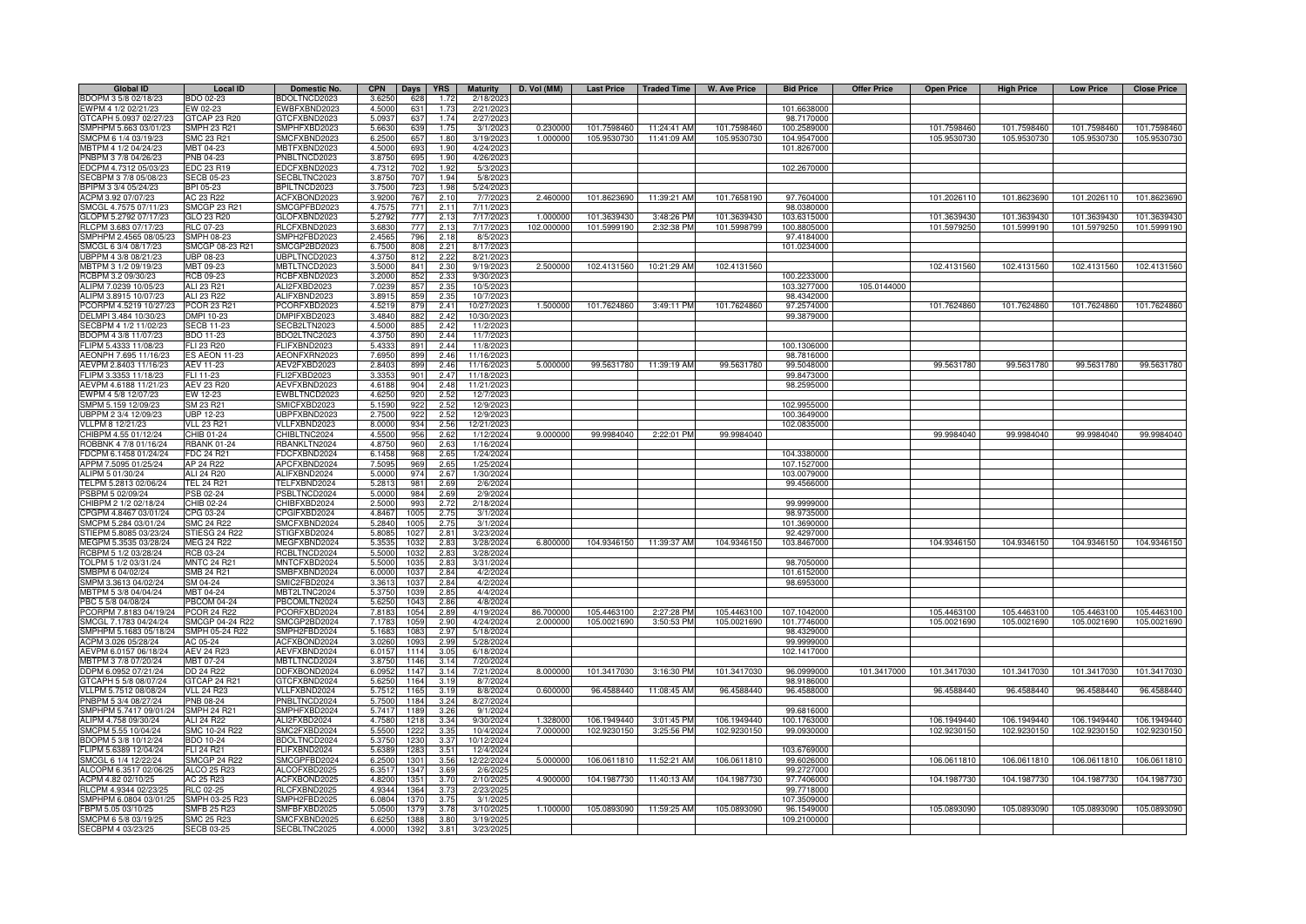| Global ID              | <b>Local ID</b>     | Domestic No.        | <b>CPN</b>     | Days | <b>YRS</b> | <b>Maturity</b> | D. Vol (MM) |             | Last Price   Traded Time | <b>W. Ave Price</b> | <b>Bid Price</b> | <b>Offer Price</b> | <b>Open Price</b> | <b>High Price</b> | <b>Low Price</b> | <b>Close Price</b> |
|------------------------|---------------------|---------------------|----------------|------|------------|-----------------|-------------|-------------|--------------------------|---------------------|------------------|--------------------|-------------------|-------------------|------------------|--------------------|
| BDOPM 3 5/8 02/18/23   | BDO 02-23           | BDOLTNCD2023        | 3.6250         | 628  | 1.72       | 2/18/2023       |             |             |                          |                     |                  |                    |                   |                   |                  |                    |
| EWPM 4 1/2 02/21/23    | EW 02-23            | EWBFXBND2023        | 4.5000         | 631  | 1.73       | 2/21/202        |             |             |                          |                     | 101.6638000      |                    |                   |                   |                  |                    |
| GTCAPH 5.0937 02/27/23 | GTCAP 23 R20        | <b>STCFXBND2023</b> | 5.093          | 637  | 1.74       | 2/27/202        |             |             |                          |                     | 98.7170000       |                    |                   |                   |                  |                    |
| SMPHPM 5.663 03/01/23  | <b>SMPH 23 R21</b>  | MPHFXBD2023         | 5.6630         | 639  | 1.75       | 3/1/202         | 0.23000     | 101.7598460 | 11:24:41 AM              | 101.7598460         | 100.2589000      |                    | 101.7598460       | 101.7598460       | 101.7598460      | 101.7598460        |
| SMCPM 6 1/4 03/19/23   | <b>SMC 23 R21</b>   | SMCFXBND2023        | 6.2500         | 657  | 1.80       | 3/19/202        | 1.000000    | 105.9530730 | 11:41:09 AM              | 105.9530730         | 104.9547000      |                    | 105.9530730       | 105.9530730       | 105.9530730      | 105.9530730        |
| MBTPM 4 1/2 04/24/23   | MBT 04-23           | MBTFXBND2023        | 4.5000         | 693  | 1.90       | 4/24/2023       |             |             |                          |                     | 101.8267000      |                    |                   |                   |                  |                    |
| PNBPM 3 7/8 04/26/23   | PNB 04-23           | PNBLTNCD2023        | 3.8750         | 695  | 1.90       | 4/26/202        |             |             |                          |                     |                  |                    |                   |                   |                  |                    |
| EDCPM 4.7312 05/03/23  | EDC 23 R19          | EDCFXBND2023        | 4.7312         | 702  | 1.92       | 5/3/202         |             |             |                          |                     | 102.2670000      |                    |                   |                   |                  |                    |
| SECBPM 3 7/8 05/08/23  | <b>SECB 05-23</b>   | ECBLTNC2023         | 3.875          | 707  | 1.94       | 5/8/202         |             |             |                          |                     |                  |                    |                   |                   |                  |                    |
| BPIPM 3 3/4 05/24/23   | BPI 05-23           | <b>PILTNCD2023</b>  | 3.7500         | 723  | 1.98       | 5/24/202        |             |             |                          |                     |                  |                    |                   |                   |                  |                    |
| ACPM 3.92 07/07/23     | AC 23 R22           | ACFXBOND2023        | 3.9200         | 767  | 2.10       | 7/7/202         | 2.460000    | 101.8623690 | 11:39:21 AM              | 101.7658190         | 97.7604000       |                    | 101.2026110       | 101.8623690       | 101.2026110      | 101.8623690        |
| SMCGL 4.7575 07/11/23  | <b>SMCGP 23 R21</b> | SMCGPFBD2023        | 4.757          | 771  | 2.11       | 7/11/202        |             |             |                          |                     | 98.0380000       |                    |                   |                   |                  |                    |
| GLOPM 5.2792 07/17/23  | GLO 23 R20          | GLOFXBND2023        | 5.2792         | 777  | 2.13       | 7/17/2023       | 1.000000    | 101.3639430 | 3:48:26 PM               | 101.3639430         | 103.6315000      |                    | 101.3639430       | 101.3639430       | 101.3639430      | 101.3639430        |
| RLCPM 3.683 07/17/23   | RLC 07-23           | RLCFXBND2023        | 3.6830         | 777  | 2.13       | 7/17/2023       | 102.000000  | 101.5999190 | 2:32:38 PM               | 101.5998799         | 100.8805000      |                    | 101.5979250       | 101.5999190       | 101.5979250      | 101.5999190        |
| SMPHPM 2.4565 08/05/23 | <b>SMPH 08-23</b>   | SMPH2FBD2023        | 2.4565         | 796  | 2.18       | 8/5/202         |             |             |                          |                     | 97.4184000       |                    |                   |                   |                  |                    |
| SMCGL 6 3/4 08/17/23   | SMCGP 08-23 R21     | SMCGP2BD2023        | 6.7500         | 808  | 2.21       | 8/17/202        |             |             |                          |                     | 101.0234000      |                    |                   |                   |                  |                    |
| JBPPM 4 3/8 08/21/23   | <b>UBP 08-23</b>    | UBPLTNCD2023        | 4.375          | 812  | 2.22       | 8/21/202        |             |             |                          |                     |                  |                    |                   |                   |                  |                    |
| MBTPM 3 1/2 09/19/23   | MBT 09-23           | MBTLTNCD2023        | 3.500          | 841  | 2.30       | 9/19/202        | 2.50000     | 102.4131560 | 10:21:29 AM              | 102.4131560         |                  |                    | 102.4131560       | 102.4131560       | 102.4131560      | 102.4131560        |
| RCBPM 3.2 09/30/23     | RCB 09-23           | RCBFXBND2023        | 3.200          | 852  | 2.33       | 9/30/202        |             |             |                          |                     | 100.2233000      |                    |                   |                   |                  |                    |
| ALIPM 7.0239 10/05/23  | ALI 23 R21          | ALI2FXBD2023        | 7.023          | 857  | 2.35       | 10/5/202        |             |             |                          |                     | 103.3277000      | 105.0144000        |                   |                   |                  |                    |
| ALIPM 3.8915 10/07/23  | ALI 23 R22          | ALIFXBND2023        | 3.891          | 859  | 2.35       | 10/7/202        |             |             |                          |                     | 98.4342000       |                    |                   |                   |                  |                    |
| PCORPM 4.5219 10/27/23 | PCOR 23 R21         | PCORFXBD2023        | 4.521          | 879  | 2.41       | 10/27/202       | 1.500000    | 101.7624860 | 3:49:11 PM               | 101.7624860         | 97.2574000       |                    | 101.7624860       | 101.7624860       | 101.7624860      | 101.7624860        |
| DELMPI 3.484 10/30/23  | DMPI 10-23          | DMPIFXBD2023        | 3.4840         | 882  | 2.42       | 10/30/202       |             |             |                          |                     | 99.3879000       |                    |                   |                   |                  |                    |
| SECBPM 4 1/2 11/02/23  | <b>SECB 11-23</b>   | SECB2LTN2023        | 4.5000         | 885  | 2.42       | 11/2/202        |             |             |                          |                     |                  |                    |                   |                   |                  |                    |
| BDOPM 4 3/8 11/07/23   | BDO 11-23           | BDO2LTNC2023        | 4.3750         | 890  | 2.44       | 11/7/2023       |             |             |                          |                     |                  |                    |                   |                   |                  |                    |
| FLIPM 5.4333 11/08/23  | FLI 23 R20          | FLIFXBND2023        | 5.4333         | 891  | 2.44       | 11/8/202        |             |             |                          |                     | 100.1306000      |                    |                   |                   |                  |                    |
| AEONPH 7.695 11/16/23  | ES AEON 11-23       | AEONFXRN2023        | 7.6950         | 899  | 2.46       | 11/16/202       |             |             |                          |                     | 98.7816000       |                    |                   |                   |                  |                    |
| AEVPM 2.8403 11/16/23  | AEV 11-23           | AEV2FXBD2023        | 2.8403         | 899  | 2.46       | 11/16/2023      | 5.000000    |             | 99.5631780 11:39:19 AM   | 99.5631780          | 99.5048000       |                    | 99.5631780        | 99.5631780        | 99.5631780       | 99.5631780         |
| FLIPM 3.3353 11/18/23  | FLI 11-23           | FLI2FXBD2023        |                | 901  | 2.47       | 11/18/202       |             |             |                          |                     | 99.8473000       |                    |                   |                   |                  |                    |
|                        |                     |                     | 3.335          | 904  | 2.48       |                 |             |             |                          |                     |                  |                    |                   |                   |                  |                    |
| AEVPM 4.6188 11/21/23  | <b>AEV 23 R20</b>   | AEVFXBND2023        | 4.618<br>4.625 | 920  | 2.52       | 11/21/202       |             |             |                          |                     | 98.2595000       |                    |                   |                   |                  |                    |
| EWPM 4 5/8 12/07/23    | EW 12-23            | WBLTNCD2023         |                |      |            | 12/7/202        |             |             |                          |                     |                  |                    |                   |                   |                  |                    |
| SMPM 5.159 12/09/23    | SM 23 R21           | MICFXBD2023         | 5.1590         | 922  | 2.52       | 12/9/202        |             |             |                          |                     | 102.9955000      |                    |                   |                   |                  |                    |
| UBPPM 2 3/4 12/09/23   | <b>UBP 12-23</b>    | JBPFXBND2023        | 2.750          | 922  | 2.52       | 12/9/202        |             |             |                          |                     | 100.3649000      |                    |                   |                   |                  |                    |
| VLLPM 8 12/21/23       | VLL 23 R21          | /LLFXBND2023        | 8.0000         | 934  | 2.56       | 12/21/202       |             |             |                          |                     | 102.0835000      |                    |                   |                   |                  |                    |
| CHIBPM 4.55 01/12/24   | CHIB 01-24          | CHIBLTNC2024        | 4.550          | 956  | 2.62       | 1/12/202        | 9.000000    | 99.9984040  | 2:22:01 PM               | 99.9984040          |                  |                    | 99.9984040        | 99.9984040        | 99.9984040       | 99.9984040         |
| ROBBNK 4 7/8 01/16/24  | <b>RBANK 01-24</b>  | <b>BANKLTN2024</b>  | 4.875          | 960  | 2.63       | 1/16/202        |             |             |                          |                     |                  |                    |                   |                   |                  |                    |
| DCPM 6.1458 01/24/24   | FDC 24 R21          | DCFXBND2024         | 6.145          | 968  | 2.65       | 1/24/202        |             |             |                          |                     | 104.3380000      |                    |                   |                   |                  |                    |
| APPM 7.5095 01/25/24   | AP 24 R22           | APCFXBND2024        | 7.509          | 969  | 2.65       | 1/25/202        |             |             |                          |                     | 107.1527000      |                    |                   |                   |                  |                    |
| ALIPM 5 01/30/24       | ALI 24 R20          | ALIFXBND2024        | 5.000          | 974  | 2.67       | 1/30/202        |             |             |                          |                     | 103.0079000      |                    |                   |                   |                  |                    |
| TELPM 5.2813 02/06/24  | <b>TEL 24 R21</b>   | TELFXBND2024        | 5.281          | 981  | 2.69       | 2/6/202         |             |             |                          |                     | 99.4566000       |                    |                   |                   |                  |                    |
| PSBPM 5 02/09/24       | PSB 02-24           | PSBLTNCD2024        | 5.0000         | 984  | 2.69       | 2/9/202         |             |             |                          |                     |                  |                    |                   |                   |                  |                    |
| CHIBPM 2 1/2 02/18/24  | CHIB 02-24          | CHIBFXBD2024        | 2.5000         | 993  | 2.72       | 2/18/2024       |             |             |                          |                     | 99.9999000       |                    |                   |                   |                  |                    |
| CPGPM 4.8467 03/01/24  | CPG 03-24           | CPGIFXBD2024        | 4.8467         | 1005 | 2.75       | 3/1/2024        |             |             |                          |                     | 98.9735000       |                    |                   |                   |                  |                    |
| SMCPM 5.284 03/01/24   | <b>SMC 24 R22</b>   | SMCFXBND2024        | 5.2840         | 1005 | 2.75       | 3/1/2024        |             |             |                          |                     | 101.3690000      |                    |                   |                   |                  |                    |
| STIEPM 5.8085 03/23/24 | STIESG 24 R22       | STIGFXBD2024        | 5.808          | 102  | 2.81       | 3/23/2024       |             |             |                          |                     | 92.4297000       |                    |                   |                   |                  |                    |
| MEGPM 5.3535 03/28/24  | <b>MEG 24 R22</b>   | MEGFXBND2024        | 5.353          | 103  | 2.83       | 3/28/2024       | 6.80000     | 104.9346150 | 11:39:37 AM              | 104.9346150         | 103.8467000      |                    | 104.9346150       | 104.9346150       | 104.9346150      | 104.9346150        |
| RCBPM 5 1/2 03/28/24   | RCB 03-24           | RCBLTNCD2024        | 5.500          | 103  | 2.8        | 3/28/2024       |             |             |                          |                     |                  |                    |                   |                   |                  |                    |
| TOLPM 5 1/2 03/31/24   | <b>MNTC 24 R21</b>  | MNTCFXBD2024        | 5.500          | 1035 | 2.83       | 3/31/2024       |             |             |                          |                     | 98.7050000       |                    |                   |                   |                  |                    |
| SMBPM 6 04/02/24       | SMB 24 R21          | SMBFXBND2024        | 6.000          | 1037 | 2.84       | 4/2/202         |             |             |                          |                     | 101.6152000      |                    |                   |                   |                  |                    |
| SMPM 3.3613 04/02/24   | SM 04-24            | SMIC2FBD2024        | 3.361          | 1037 | 2.84       | 4/2/202         |             |             |                          |                     | 98.6953000       |                    |                   |                   |                  |                    |
| MBTPM 5 3/8 04/04/24   | MBT 04-24           | MBT2LTNC2024        | 5.375          | 1039 | 2.85       | 4/4/202         |             |             |                          |                     |                  |                    |                   |                   |                  |                    |
| PBC 5 5/8 04/08/24     | <b>PBCOM 04-24</b>  | PBCOMLTN2024        | 5.6250         | 1043 | 2.86       | 4/8/2024        |             |             |                          |                     |                  |                    |                   |                   |                  |                    |
| PCORPM 7.8183 04/19/24 | <b>PCOR 24 R22</b>  | PCORFXBD2024        | 7.8183         | 1054 | 2.89       | 4/19/202        | 86.700000   | 105.4463100 | 2:27:28 PM               | 105.4463100         | 107.1042000      |                    | 105.4463100       | 105.4463100       | 105.4463100      | 105.4463100        |
| SMCGL 7.1783 04/24/24  | SMCGP 04-24 R22     | SMCGP2BD2024        | 7.1783         | 1059 | 2.90       | 4/24/2024       | 2.000000    | 105.0021690 | 3:50:53 PM               | 105.0021690         | 101.7746000      |                    | 105.0021690       | 105.0021690       | 105.0021690      | 105.0021690        |
| SMPHPM 5.1683 05/18/24 | SMPH 05-24 R22      | SMPH2FBD2024        | 5.168          | 1083 | 2.97       | 5/18/2024       |             |             |                          |                     | 98.4329000       |                    |                   |                   |                  |                    |
| ACPM 3.026 05/28/24    | AC 05-24            | ACFXBOND2024        | 3.026          | 1093 | 2.99       | 5/28/2024       |             |             |                          |                     | 99.9999000       |                    |                   |                   |                  |                    |
| AEVPM 6.0157 06/18/24  | <b>AEV 24 R23</b>   | AEVFXBND2024        | 6.015          | 1114 | 3.05       | 6/18/202        |             |             |                          |                     | 102.1417000      |                    |                   |                   |                  |                    |
| MBTPM 3 7/8 07/20/24   | MBT 07-24           | <b>MBTLTNCD2024</b> | 3.875          | 1146 | 3.14       | 7/20/2024       |             |             |                          |                     |                  |                    |                   |                   |                  |                    |
| DDPM 6.0952 07/21/24   | DD 24 R22           | DDFXBOND2024        | 6.0952         | 1147 | 3.14       | 7/21/2024       | 8.000000    | 101.3417030 | 3:16:30 PM               | 101.3417030         | 96.0999000       | 101.3417000        | 101.3417030       | 101.3417030       | 101.3417030      | 101.3417030        |
| GTCAPH 5 5/8 08/07/24  | GTCAP 24 R21        | GTCFXBND2024        | 5.6250         | 1164 | 3.19       | 8/7/2024        |             |             |                          |                     | 98.9186000       |                    |                   |                   |                  |                    |
| VLLPM 5.7512 08/08/24  | <b>VLL 24 R23</b>   | /LLFXBND2024        | 5.7512         | 1165 | 3.19       | 8/8/202         | 0.60000     | 96.4588440  | 11:08:45 AM              | 96.4588440          | 96.4588000       |                    | 96.4588440        | 96.4588440        | 96.4588440       | 96.4588440         |
| PNBPM 5 3/4 08/27/24   | PNB 08-24           | PNBLTNCD2024        | 5.7500         | 1184 | 3.24       | 8/27/202        |             |             |                          |                     |                  |                    |                   |                   |                  |                    |
| SMPHPM 5.7417 09/01/24 | <b>SMPH 24 R21</b>  | SMPHFXBD2024        | 5.7417         | 1189 | 3.26       | 9/1/202         |             |             |                          |                     | 99.6816000       |                    |                   |                   |                  |                    |
| ALIPM 4.758 09/30/24   | ALI 24 R22          | ALI2FXBD2024        | 4.7580         | 1218 | 3.34       | 9/30/202        | 1.328000    | 106.1949440 | 3:01:45 PM               | 106.1949440         | 100.1763000      |                    | 106.1949440       | 106.1949440       | 106.1949440      | 106.1949440        |
|                        |                     |                     |                |      |            |                 |             |             | 3:25:56 PM               | 102.9230150         |                  |                    | 102.9230150       | 102.9230150       | 102.9230150      |                    |
| SMCPM 5.55 10/04/24    | SMC 10-24 R22       | SMC2FXBD2024        | 5.550          | 122  | 3.35       | 10/4/202        | 7.00000     | 102.9230150 |                          |                     | 99.0930000       |                    |                   |                   |                  | 102.9230150        |
| BDOPM 5 3/8 10/12/24   | BDO 10-24           | BDOLTNCD2024        | 5.375          | 1230 | 3.37       | 10/12/202       |             |             |                          |                     |                  |                    |                   |                   |                  |                    |
| FLIPM 5.6389 12/04/24  | FLI 24 R21          | FLIFXBND2024        | 5.638          | 1283 | 3.51       | 12/4/2024       |             |             |                          |                     | 103.6769000      |                    |                   |                   |                  |                    |
| SMCGL 6 1/4 12/22/24   | <b>SMCGP 24 R22</b> | SMCGPFBD2024        | 6.2500         | 1301 | 3.56       | 12/22/2024      | 5.000000    | 106.0611810 | 11:52:21 AM              | 106.0611810         | 99.6026000       |                    | 106.0611810       | 106.0611810       | 106.0611810      | 106.0611810        |
| ALCOPM 6.3517 02/06/25 | ALCO 25 R23         | ALCOFXBD2025        | 6.351          | 1347 | 3.69       | 2/6/202         |             |             |                          |                     | 99.2727000       |                    |                   |                   |                  |                    |
| ACPM 4.82 02/10/25     | AC 25 R23           | ACFXBOND2025        | 4.8200         | 1351 | 3.70       | 2/10/2025       | 4.900000    | 104.1987730 | 11:40:13 AM              | 104.1987730         | 97.7406000       |                    | 104.1987730       | 104.1987730       | 104.1987730      | 104.1987730        |
| RLCPM 4.9344 02/23/25  | <b>RLC 02-25</b>    | RLCFXBND2025        | 4.934          | 1364 | 3.73       | 2/23/202        |             |             |                          |                     | 99.7718000       |                    |                   |                   |                  |                    |
| SMPHPM 6.0804 03/01/25 | SMPH 03-25 R23      | SMPH2FBD2025        | 6.0804         | 1370 | 3.75       | 3/1/202         |             |             |                          |                     | 107.3509000      |                    |                   |                   |                  |                    |
| FBPM 5.05 03/10/25     | <b>SMFB 25 R23</b>  | SMFBFXBD2025        | 5.050          | 1379 | 3.78       | 3/10/202        | 1.100000    | 105.0893090 | 11:59:25 AM              | 105.0893090         | 96.1549000       |                    | 105.0893090       | 105.0893090       | 105.0893090      | 105.0893090        |
| SMCPM 6 5/8 03/19/25   | <b>SMC 25 R23</b>   | SMCFXBND2025        | 6.625          | 1388 | 3.80       | 3/19/202        |             |             |                          |                     | 109.2100000      |                    |                   |                   |                  |                    |
| SECBPM 4 03/23/25      | <b>SECB 03-25</b>   | SECBLTNC2025        | 4.0000         | 1392 | 3.81       | 3/23/202        |             |             |                          |                     |                  |                    |                   |                   |                  |                    |